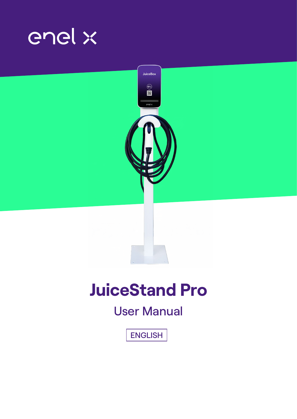



# **JuiceStand Pro**

## User Manual

ENGLISH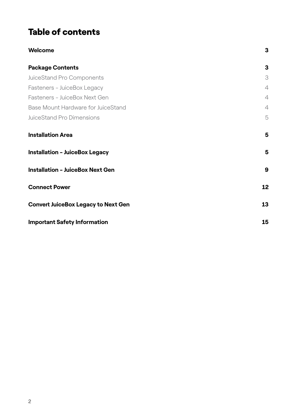### Table of contents

| <b>Welcome</b>                             | 3              |
|--------------------------------------------|----------------|
| <b>Package Contents</b>                    | 3              |
| JuiceStand Pro Components                  | 3              |
| Fasteners - JuiceBox Legacy                | $\overline{4}$ |
| Fasteners - JuiceBox Next Gen              | $\overline{4}$ |
| Base Mount Hardware for JuiceStand         | $\overline{4}$ |
| <b>JuiceStand Pro Dimensions</b>           | 5              |
| <b>Installation Area</b>                   | 5              |
| <b>Installation - JuiceBox Legacy</b>      | 5              |
| <b>Installation - JuiceBox Next Gen</b>    | 9              |
| <b>Connect Power</b>                       | 12             |
| <b>Convert JuiceBox Legacy to Next Gen</b> | 13             |
| <b>Important Safety Information</b>        | 15             |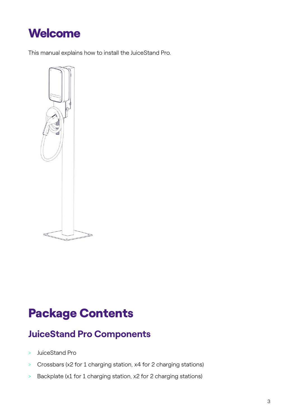<span id="page-2-0"></span>

This manual explains how to install the JuiceStand Pro.



## Package Contents

### **JuiceStand Pro Components**

- > JuiceStand Pro
- > Crossbars (x2 for 1 charging station, x4 for 2 charging stations)
- > Backplate (x1 for 1 charging station, x2 for 2 charging stations)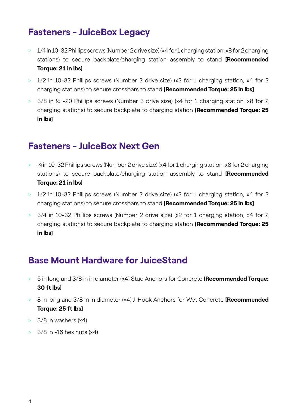### <span id="page-3-0"></span>**Fasteners - JuiceBox Legacy**

- > 1/4 in 10-32 Phillips screws (Number 2 drive size) (x4 for 1 charging station, x8 for 2 charging stations) to secure backplate/charging station assembly to stand **[Recommended Torque: 21 in lbs]**
- > 1/2 in 10-32 Phillips screws (Number 2 drive size) (x2 for 1 charging station, x4 for 2 charging stations) to secure crossbars to stand **[Recommended Torque: 25 in lbs]**
- > 3/8 in ¼"-20 Phillips screws (Number 3 drive size) (x4 for 1 charging station, x8 for 2 charging stations) to secure backplate to charging station **[Recommended Torque: 25 in lbs]**

### **Fasteners - JuiceBox Next Gen**

- > ¼ in 10-32 Phillips screws (Number 2 drive size) (x4 for 1 charging station, x8 for 2 charging stations) to secure backplate/charging station assembly to stand **[Recommended Torque: 21 in lbs]**
- > 1/2 in 10-32 Phillips screws (Number 2 drive size) (x2 for 1 charging station, x4 for 2 charging stations) to secure crossbars to stand **[Recommended Torque: 25 in lbs]**
- > 3/4 in 10-32 Phillips screws (Number 2 drive size) (x2 for 1 charging station, x4 for 2 charging stations) to secure backplate to charging station **[Recommended Torque: 25 in lbs]**

### **Base Mount Hardware for JuiceStand**

- > 5 in long and 3/8 in in diameter (x4) Stud Anchors for Concrete **[Recommended Torque: 30 ft lbs]**
- > 8 in long and 3/8 in in diameter (x4) J-Hook Anchors for Wet Concrete **[Recommended Torque: 25 ft lbs]**
- $> 3/8$  in washers  $(x4)$
- $>$  3/8 in -16 hex nuts  $(x4)$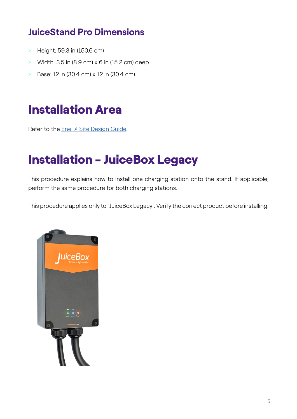### <span id="page-4-0"></span>**JuiceStand Pro Dimensions**

- > Height: 59.3 in (150.6 cm)
- > Width: 3.5 in (8.9 cm) x 6 in (15.2 cm) deep
- > Base: 12 in (30.4 cm) x 12 in (30.4 cm)

## Installation Area

Refer to the [Enel X Site Design Guide](https://docs-emobility.enelx.com/SiteDesign/SiteDesignGuide/welcome.html).

## Installation - JuiceBox Legacy

This procedure explains how to install one charging station onto the stand. If applicable, perform the same procedure for both charging stations.

This procedure applies only to "JuiceBox Legacy". Verify the correct product before installing.

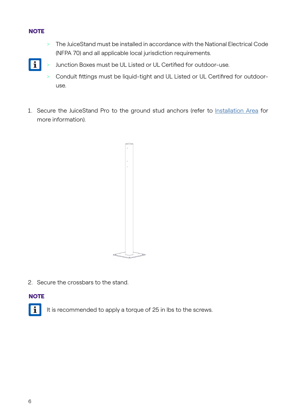#### **NOTE**

> The JuiceStand must be installed in accordance with the National Electrical Code (NFPA 70) and all applicable local jurisdiction requirements.



- > Junction Boxes must be UL Listed or UL Certified for outdoor-use.
- > Conduit fittings must be liquid-tight and UL Listed or UL Certifired for outdooruse.
- 1. Secure the JuiceStand Pro to the ground stud anchors (refer to [Installation Area](https://support-emobility.enelx.com/hc/en-us/articles/4405798889371) for more information).



2. Secure the crossbars to the stand.

#### **NOTE**



It is recommended to apply a torque of 25 in lbs to the screws.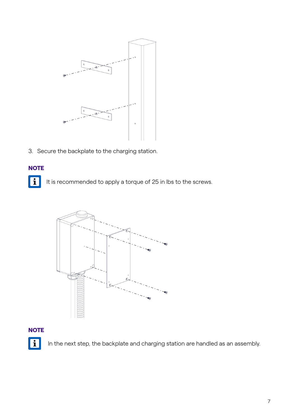

3. Secure the backplate to the charging station.

#### **NOTE**

F It is recommended to apply a torque of 25 in lbs to the screws.



#### **NOTE**



In the next step, the backplate and charging station are handled as an assembly.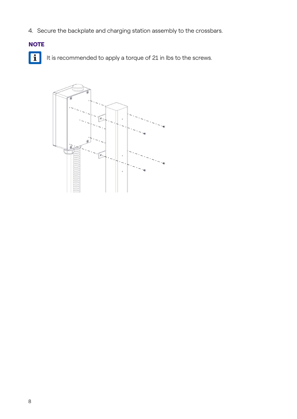4. Secure the backplate and charging station assembly to the crossbars.

#### **NOTE**

 $\boxed{\mathbf{ii}}$ It is recommended to apply a torque of 21 in lbs to the screws.

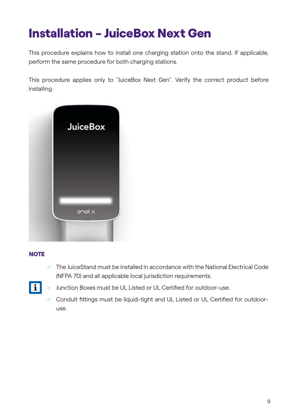## <span id="page-8-0"></span>Installation - JuiceBox Next Gen

This procedure explains how to install one charging station onto the stand. If applicable, perform the same procedure for both charging stations.

This procedure applies only to "JuiceBox Next Gen". Verify the correct product before installing.



#### **NOTE**

> The JuiceStand must be installed in accordance with the National Electrical Code (NFPA 70) and all applicable local jurisdiction requirements.



- > Junction Boxes must be UL Listed or UL Certified for outdoor-use.
- > Conduit fittings must be liquid-tight and UL Listed or UL Certified for outdooruse.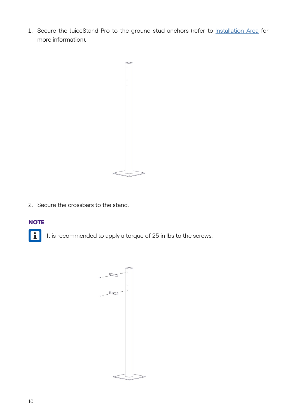1. Secure the JuiceStand Pro to the ground stud anchors (refer to [Installation Area](https://support-emobility.enelx.com/hc/en-us/articles/4405798889371) for more information).



2. Secure the crossbars to the stand.

#### **NOTE**



It is recommended to apply a torque of 25 in lbs to the screws.

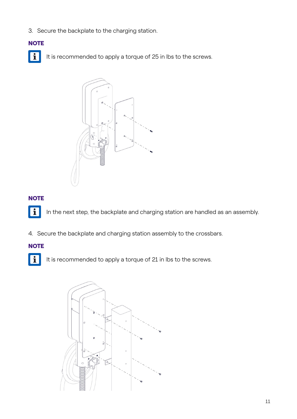3. Secure the backplate to the charging station.

#### **NOTE**

H It is recommended to apply a torque of 25 in lbs to the screws.



#### **NOTE**

**F** 

In the next step, the backplate and charging station are handled as an assembly.

4. Secure the backplate and charging station assembly to the crossbars.

#### **NOTE**



It is recommended to apply a torque of 21 in lbs to the screws.

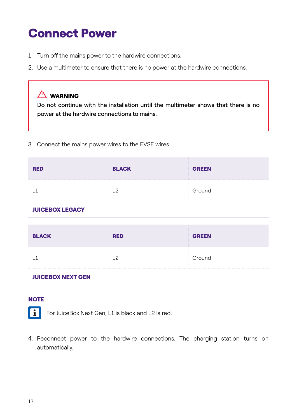## <span id="page-11-0"></span>Connect Power

- 1. Turn off the mains power to the hardwire connections.
- 2. Use a multimeter to ensure that there is no power at the hardwire connections.

#### $\sqrt{N}$  WARNING

Do not continue with the installation until the multimeter shows that there is no power at the hardwire connections to mains.

3. Connect the mains power wires to the EVSE wires.

| <b>RED</b> | <b>BLACK</b> | <b>GREEN</b> |
|------------|--------------|--------------|
|            | C<br>.       | Ground       |

#### JUICEBOX LEGACY

| <b>BLACK</b> | <b>RED</b> | <b>GREEN</b> |
|--------------|------------|--------------|
|              |            | Ground       |

#### JUICEBOX NEXT GEN

#### **NOTE**

H

For JuiceBox Next Gen, L1 is black and L2 is red.

4. Reconnect power to the hardwire connections. The charging station turns on automatically.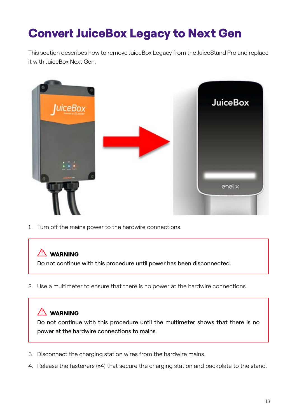## <span id="page-12-0"></span>Convert JuiceBox Legacy to Next Gen

This section describes how to remove JuiceBox Legacy from the JuiceStand Pro and replace it with JuiceBox Next Gen.



1. Turn off the mains power to the hardwire connections.

### $\sqrt{N}$  WARNING

Do not continue with this procedure until power has been disconnected.

2. Use a multimeter to ensure that there is no power at the hardwire connections.

#### $\sqrt{N}$  WARNING

Do not continue with this procedure until the multimeter shows that there is no power at the hardwire connections to mains.

- 3. Disconnect the charging station wires from the hardwire mains.
- 4. Release the fasteners (x4) that secure the charging station and backplate to the stand.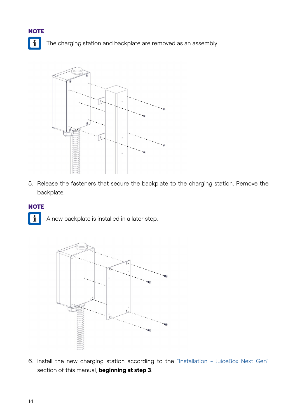

The charging station and backplate are removed as an assembly.



5. Release the fasteners that secure the backplate to the charging station. Remove the backplate.

#### **NOTE**

**FI** A new backplate is installed in a later step.



6. Install the new charging station according to the ["Installation - JuiceBox Next Gen"](https://support-emobility.enelx.com/hc/en-us/articles/4405798925595) section of this manual, **beginning at step 3**.